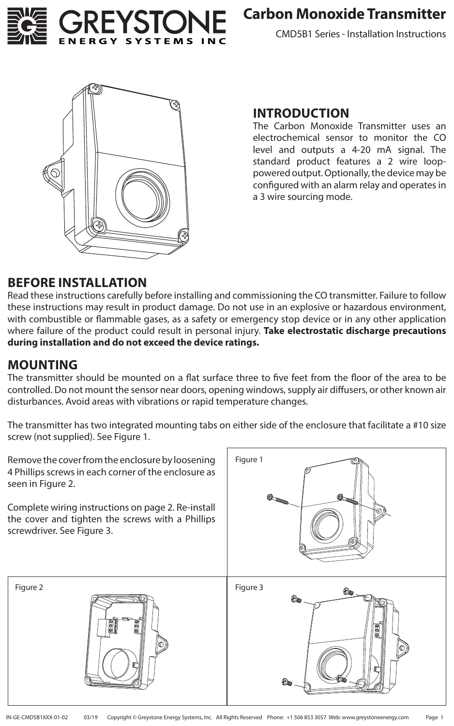

CMD5B1 Series - Installation Instructions



#### **INTRODUCTION**

The Carbon Monoxide Transmitter uses an electrochemical sensor to monitor the CO level and outputs a 4-20 mA signal. The standard product features a 2 wire looppowered output. Optionally, the device may be configured with an alarm relay and operates in a 3 wire sourcing mode.

#### **BEFORE INSTALLATION**

Read these instructions carefully before installing and commissioning the CO transmitter. Failure to follow these instructions may result in product damage. Do not use in an explosive or hazardous environment, with combustible or flammable gases, as a safety or emergency stop device or in any other application where failure of the product could result in personal injury. **Take electrostatic discharge precautions during installation and do not exceed the device ratings.**

#### **MOUNTING**

The transmitter should be mounted on a flat surface three to five feet from the floor of the area to be controlled. Do not mount the sensor near doors, opening windows, supply air diffusers, or other known air disturbances. Avoid areas with vibrations or rapid temperature changes.

The transmitter has two integrated mounting tabs on either side of the enclosure that facilitate a #10 size screw (not supplied). See Figure 1.

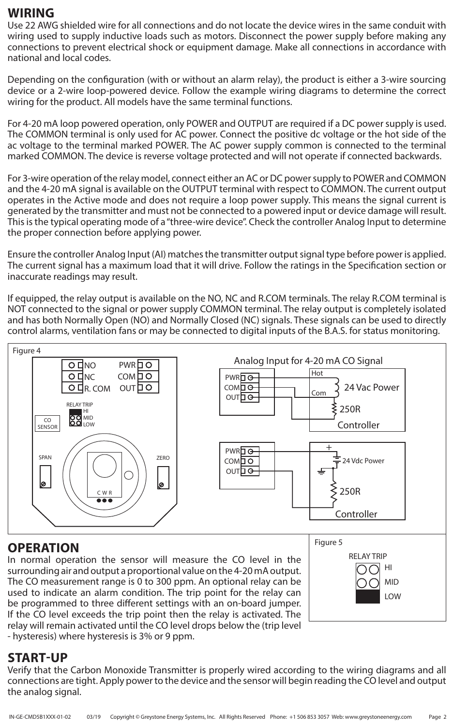#### **WIRING**

Use 22 AWG shielded wire for all connections and do not locate the device wires in the same conduit with wiring used to supply inductive loads such as motors. Disconnect the power supply before making any connections to prevent electrical shock or equipment damage. Make all connections in accordance with national and local codes.

Depending on the configuration (with or without an alarm relay), the product is either a 3-wire sourcing device or a 2-wire loop-powered device. Follow the example wiring diagrams to determine the correct wiring for the product. All models have the same terminal functions.

For 4-20 mA loop powered operation, only POWER and OUTPUT are required if a DC power supply is used. The COMMON terminal is only used for AC power. Connect the positive dc voltage or the hot side of the ac voltage to the terminal marked POWER. The AC power supply common is connected to the terminal marked COMMON. The device is reverse voltage protected and will not operate if connected backwards.

For 3-wire operation of the relay model, connect either an AC or DC power supply to POWER and COMMON and the 4-20 mA signal is available on the OUTPUT terminal with respect to COMMON. The current output operates in the Active mode and does not require a loop power supply. This means the signal current is generated by the transmitter and must not be connected to a powered input or device damage will result. This is the typical operating mode of a "three-wire device". Check the controller Analog Input to determine the proper connection before applying power.

Ensure the controller Analog Input (AI) matches the transmitter output signal type before power is applied. The current signal has a maximum load that it will drive. Follow the ratings in the Specification section or inaccurate readings may result.

If equipped, the relay output is available on the NO, NC and R.COM terminals. The relay R.COM terminal is NOT connected to the signal or power supply COMMON terminal. The relay output is completely isolated and has both Normally Open (NO) and Normally Closed (NC) signals. These signals can be used to directly control alarms, ventilation fans or may be connected to digital inputs of the B.A.S. for status monitoring.



## **OPERATION**

In normal operation the sensor will measure the CO level in the surrounding air and output a proportional value on the 4-20 mA output. The CO measurement range is 0 to 300 ppm. An optional relay can be used to indicate an alarm condition. The trip point for the relay can be programmed to three different settings with an on-board jumper. If the CO level exceeds the trip point then the relay is activated. The relay will remain activated until the CO level drops below the (trip level - hysteresis) where hysteresis is 3% or 9 ppm.



#### **START-UP**

Verify that the Carbon Monoxide Transmitter is properly wired according to the wiring diagrams and all connections are tight. Apply power to the device and the sensor will begin reading the CO level and output the analog signal.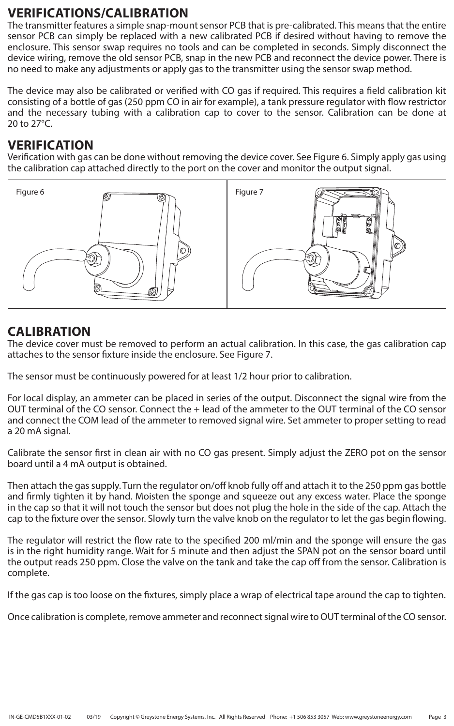#### **VERIFICATIONS/CALIBRATION**

The transmitter features a simple snap-mount sensor PCB that is pre-calibrated. This means that the entire sensor PCB can simply be replaced with a new calibrated PCB if desired without having to remove the enclosure. This sensor swap requires no tools and can be completed in seconds. Simply disconnect the device wiring, remove the old sensor PCB, snap in the new PCB and reconnect the device power. There is no need to make any adjustments or apply gas to the transmitter using the sensor swap method.

The device may also be calibrated or verified with CO gas if required. This requires a field calibration kit consisting of a bottle of gas (250 ppm CO in air for example), a tank pressure regulator with flow restrictor and the necessary tubing with a calibration cap to cover to the sensor. Calibration can be done at 20 to 27°C.

#### **VERIFICATION**

Verification with gas can be done without removing the device cover. See Figure 6. Simply apply gas using the calibration cap attached directly to the port on the cover and monitor the output signal.



## **CALIBRATION**

The device cover must be removed to perform an actual calibration. In this case, the gas calibration cap attaches to the sensor fixture inside the enclosure. See Figure 7.

The sensor must be continuously powered for at least 1/2 hour prior to calibration.

For local display, an ammeter can be placed in series of the output. Disconnect the signal wire from the OUT terminal of the CO sensor. Connect the + lead of the ammeter to the OUT terminal of the CO sensor and connect the COM lead of the ammeter to removed signal wire. Set ammeter to proper setting to read a 20 mA signal.

Calibrate the sensor first in clean air with no CO gas present. Simply adjust the ZERO pot on the sensor board until a 4 mA output is obtained.

Then attach the gas supply. Turn the regulator on/off knob fully off and attach it to the 250 ppm gas bottle and firmly tighten it by hand. Moisten the sponge and squeeze out any excess water. Place the sponge in the cap so that it will not touch the sensor but does not plug the hole in the side of the cap. Attach the cap to the fixture over the sensor. Slowly turn the valve knob on the regulator to let the gas begin flowing.

The regulator will restrict the flow rate to the specified 200 ml/min and the sponge will ensure the gas is in the right humidity range. Wait for 5 minute and then adjust the SPAN pot on the sensor board until the output reads 250 ppm. Close the valve on the tank and take the cap off from the sensor. Calibration is complete.

If the gas cap is too loose on the fixtures, simply place a wrap of electrical tape around the cap to tighten.

Once calibration is complete, remove ammeter and reconnect signal wire to OUT terminal of the CO sensor.